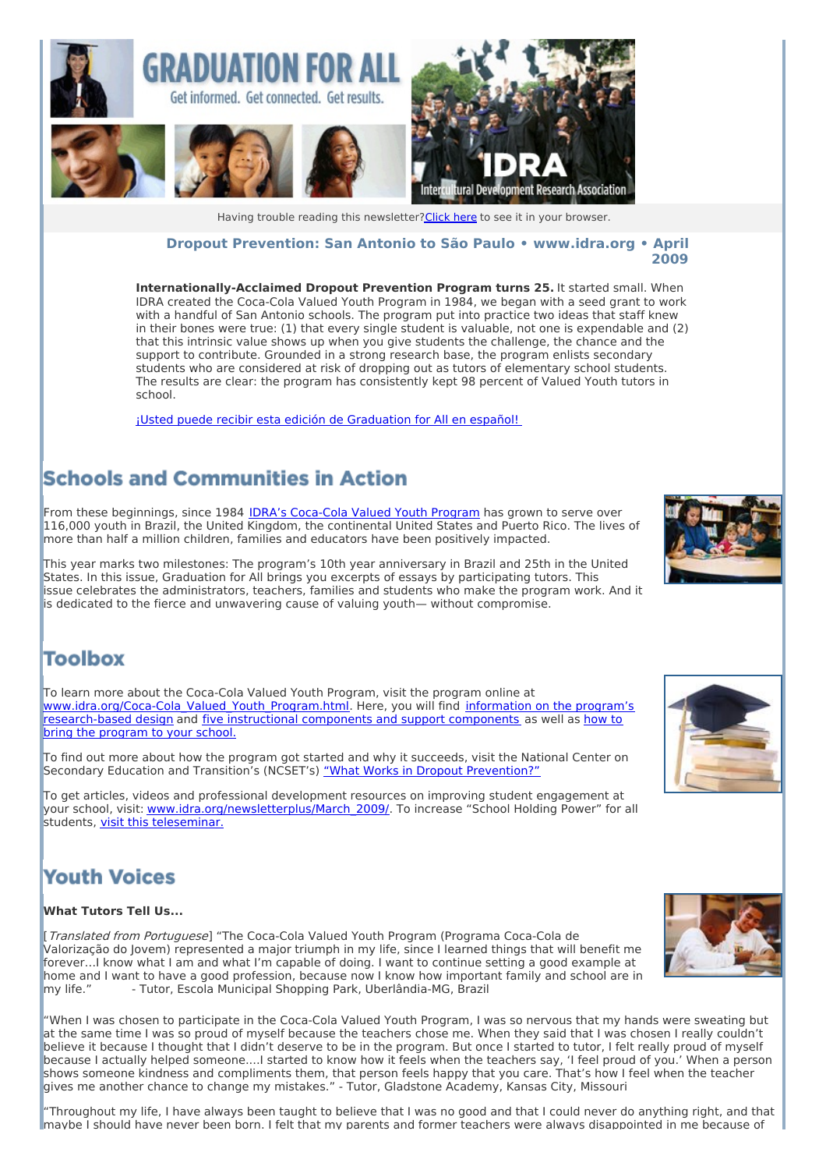

#### **Dropout Prevention: San Antonio to São Paulo • [www.idra.org](http://idra.createsend1.com/t/1/l/ttdlld/l/www.idra.org) • April 2009**

**Internationally-Acclaimed Dropout Prevention Program turns 25.** It started small. When IDRA created the Coca-Cola Valued Youth Program in 1984, we began with a seed grant to work with a handful of San Antonio schools. The program put into practice two ideas that staff knew in their bones were true: (1) that every single student is valuable, not one is expendable and (2) that this intrinsic value shows up when you give students the challenge, the chance and the support to contribute. Grounded in a strong research base, the program enlists secondary students who are considered at risk of dropping out as tutors of elementary school students. The results are clear: the program has consistently kept 98 percent of Valued Youth tutors in school.

¡Usted puede recibir esta edición de [Graduation](http://idra.createsend1.com/t/r/l/ttdlld/l/r) for All en español!

## **Schools and Communities in Action**

From these beginnings, since 1984 IDRA's [Coca-Cola](http://idra.createsend1.com/t/r/l/ttdlld/l/y) Valued Youth Program has grown to serve over 116,000 youth in Brazil, the United Kingdom, the continental United States and Puerto Rico. The lives of more than half a million children, families and educators have been positively impacted.

This year marks two milestones: The program's 10th year anniversary in Brazil and 25th in the United States. In this issue, Graduation for All brings you excerpts of essays by participating tutors. This issue celebrates the administrators, teachers, families and students who make the program work. And it is dedicated to the fierce and unwavering cause of valuing youth— without compromise.

### **Toolbox**

To learn more about the Coca-Cola Valued Youth Program, visit the program online at [www.idra.org/Coca-Cola\\_Valued\\_Youth\\_Program.html.](http://idra.createsend1.com/t/r/l/ttdlld/l/t) Here, you will find information on the program's [research-based](http://idra.createsend1.com/t/r/l/ttdlld/l/d) design and five [instructional](http://idra.createsend1.com/t/r/l/ttdlld/l/i) components and support components as well as how to bring the program to your school.

To find out more about how the program got started and why it succeeds, visit the National Center on Secondary Education and Transition's (NCSET's) "What Works in Dropout [Prevention?"](http://idra.createsend1.com/t/r/l/ttdlld/l/h)

To get articles, videos and professional development resources on improving student engagement at your school, visit: [www.idra.org/newsletterplus/March\\_2009/](http://idra.createsend1.com/t/r/l/ttdlld/l/k). To increase "School Holding Power" for all students, visit this [teleseminar.](http://idra.createsend1.com/t/r/l/ttdlld/l/u)

# **Youth Voices**

#### **What Tutors Tell Us...**

[Translated from Portuguese] "The Coca-Cola Valued Youth Program (Programa Coca-Cola de Valorização do Jovem) represented a major triumph in my life, since I learned things that will benefit me forever…I know what I am and what I'm capable of doing. I want to continue setting a good example at home and I want to have a good profession, because now I know how important family and school are in my life." - Tutor, Escola Municipal Shopping Park, Uberlândia-MG, Brazil

"When I was chosen to participate in the Coca-Cola Valued Youth Program, I was so nervous that my hands were sweating but at the same time I was so proud of myself because the teachers chose me. When they said that I was chosen I really couldn't believe it because I thought that I didn't deserve to be in the program. But once I started to tutor, I felt really proud of myself because I actually helped someone....I started to know how it feels when the teachers say, 'I feel proud of you.' When a person shows someone kindness and compliments them, that person feels happy that you care. That's how I feel when the teacher gives me another chance to change my mistakes." - Tutor, Gladstone Academy, Kansas City, Missouri

"Throughout my life, I have always been taught to believe that I was no good and that I could never do anything right, and that maybe I should have never been born. I felt that my parents and former teachers were always disappointed in me because of